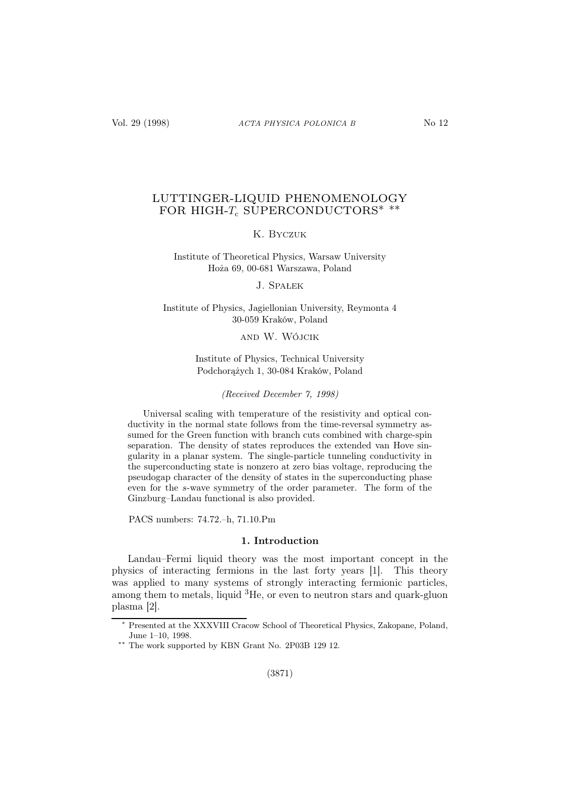# LUTTINGER-LIQUID PHENOMENOLOGY FOR HIGH- $T_c$  SUPERCONDUCTORS<sup>\*</sup> \*\*

## K. Byczuk

Institute of Theoretical Physics, Warsaw University Hoża 69, 00-681 Warszawa, Poland

#### J. Spałek

## Institute of Physics, Jagiellonian University, Reymonta 4 30-059 Kraków, Poland

# and W. Wójcik

Institute of Physics, Technical University Podchorążych 1, 30-084 Kraków, Poland

#### (Received December 7, 1998)

Universal scaling with temperature of the resistivity and optical conductivity in the normal state follows from the time-reversal symmetry assumed for the Green function with branch cuts combined with charge-spin separation. The density of states reproduces the extended van Hove singularity in a planar system. The single-particle tunneling conductivity in the superconducting state is nonzero at zero bias voltage, reproducing the pseudogap character of the density of states in the superconducting phase even for the s-wave symmetry of the order parameter. The form of the Ginzburg–Landau functional is also provided.

PACS numbers: 74.72.–h, 71.10.Pm

### 1. Introduction

Landau–Fermi liquid theory was the most important concept in the physics of interacting fermions in the last forty years [1]. This theory was applied to many systems of strongly interacting fermionic particles, among them to metals, liquid  ${}^{3}$ He, or even to neutron stars and quark-gluon plasma [2].

<sup>∗</sup> Presented at the XXXVIII Cracow School of Theoretical Physics, Zakopane, Poland, June 1–10, 1998.

<sup>∗∗</sup> The work supported by KBN Grant No. 2P03B 129 12.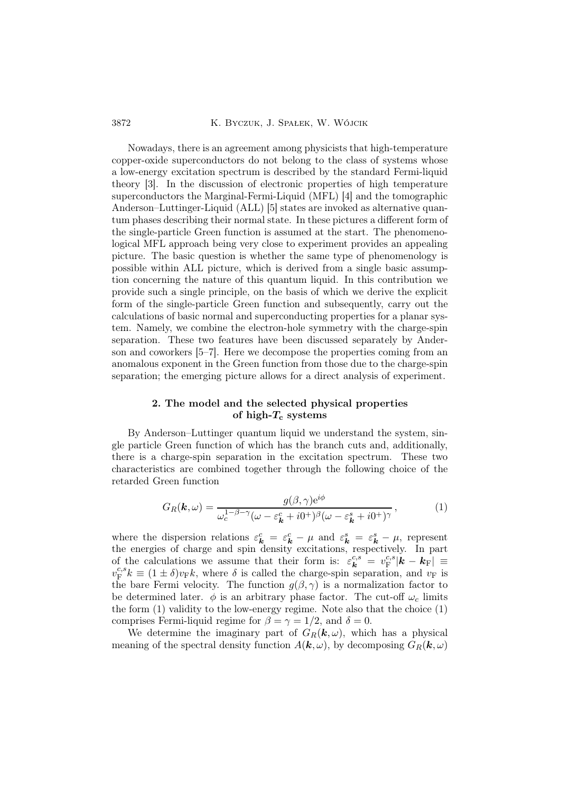3872 K. Byczuk, J. Spałek, W. Wójcik

Nowadays, there is an agreement among physicists that high-temperature copper-oxide superconductors do not belong to the class of systems whose a low-energy excitation spectrum is described by the standard Fermi-liquid theory [3]. In the discussion of electronic properties of high temperature superconductors the Marginal-Fermi-Liquid (MFL) [4] and the tomographic Anderson–Luttinger-Liquid (ALL) [5] states are invoked as alternative quantum phases describing their normal state. In these pictures a different form of the single-particle Green function is assumed at the start. The phenomenological MFL approach being very close to experiment provides an appealing picture. The basic question is whether the same type of phenomenology is possible within ALL picture, which is derived from a single basic assumption concerning the nature of this quantum liquid. In this contribution we provide such a single principle, on the basis of which we derive the explicit form of the single-particle Green function and subsequently, carry out the calculations of basic normal and superconducting properties for a planar system. Namely, we combine the electron-hole symmetry with the charge-spin separation. These two features have been discussed separately by Anderson and coworkers [5–7]. Here we decompose the properties coming from an anomalous exponent in the Green function from those due to the charge-spin separation; the emerging picture allows for a direct analysis of experiment.

## 2. The model and the selected physical properties of high- $T_c$  systems

By Anderson–Luttinger quantum liquid we understand the system, single particle Green function of which has the branch cuts and, additionally, there is a charge-spin separation in the excitation spectrum. These two characteristics are combined together through the following choice of the retarded Green function

$$
G_R(\mathbf{k}, \omega) = \frac{g(\beta, \gamma) e^{i\phi}}{\omega_c^{1-\beta-\gamma} (\omega - \varepsilon_\mathbf{k}^c + i0^+)^{\beta} (\omega - \varepsilon_\mathbf{k}^s + i0^+)^{\gamma}},\tag{1}
$$

where the dispersion relations  $\varepsilon_k^c = \varepsilon_k^c - \mu$  and  $\varepsilon_k^s = \varepsilon_k^s - \mu$ , represent the energies of charge and spin density excitations, respectively. In part of the calculations we assume that their form is:  $\varepsilon_k^{c,s} = v_{\rm F}^{c,s}$  $_{\rm F}^{c,s}|\boldsymbol{k}-\boldsymbol{k}_{\rm F}| \, \equiv \,$  $v_{\mathrm{F}}^{c,s}$  $e^{c,s}k \equiv (1 \pm \delta)v_F k$ , where  $\delta$  is called the charge-spin separation, and  $v_F$  is the bare Fermi velocity. The function  $g(\beta, \gamma)$  is a normalization factor to be determined later.  $\phi$  is an arbitrary phase factor. The cut-off  $\omega_c$  limits the form  $(1)$  validity to the low-energy regime. Note also that the choice  $(1)$ comprises Fermi-liquid regime for  $\beta = \gamma = 1/2$ , and  $\delta = 0$ .

We determine the imaginary part of  $G_R(k,\omega)$ , which has a physical meaning of the spectral density function  $A(\mathbf{k}, \omega)$ , by decomposing  $G_R(\mathbf{k}, \omega)$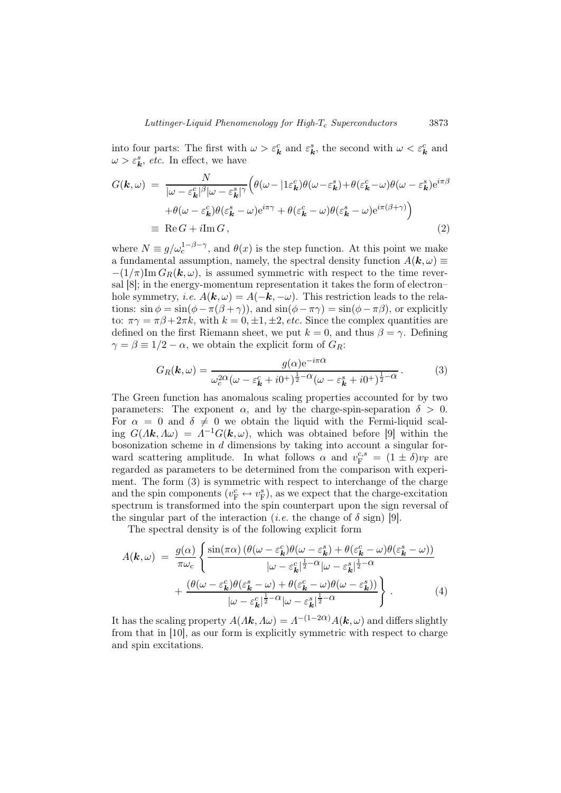into four parts: The first with  $\omega > \varepsilon_k^c$  and  $\varepsilon_k^s$ , the second with  $\omega < \varepsilon_k^c$  and  $\omega > \varepsilon_k^s$ , *etc.* In effect, we have

$$
G(\mathbf{k}, \omega) = \frac{N}{|\omega - \varepsilon_{\mathbf{k}}^c|^{\beta} |\omega - \varepsilon_{\mathbf{k}}^s|^{\gamma}} \Big( \theta(\omega - |1\varepsilon_{\mathbf{k}}^c) \theta(\omega - \varepsilon_{\mathbf{k}}^s) + \theta(\varepsilon_{\mathbf{k}}^c - \omega) \theta(\omega - \varepsilon_{\mathbf{k}}^s) e^{i\pi\beta} + \theta(\omega - \varepsilon_{\mathbf{k}}^c) \theta(\varepsilon_{\mathbf{k}}^s - \omega) e^{i\pi\gamma} + \theta(\varepsilon_{\mathbf{k}}^c - \omega) \theta(\varepsilon_{\mathbf{k}}^s - \omega) e^{i\pi(\beta + \gamma)} \Big) = \text{Re}\, G + i \text{Im}\, G,
$$
\n(2)

where  $N \equiv g/\omega_c^{1-\beta-\gamma}$ , and  $\theta(x)$  is the step function. At this point we make a fundamental assumption, namely, the spectral density function  $A(\mathbf{k}, \omega) \equiv$  $-(1/\pi)\text{Im }G_R(\mathbf{k},\omega)$ , is assumed symmetric with respect to the time reversal [8]; in the energy-momentum representation it takes the form of electron– hole symmetry, *i.e.*  $A(\mathbf{k}, \omega) = A(-\mathbf{k}, -\omega)$ . This restriction leads to the relations:  $\sin \phi = \sin(\phi - \pi(\beta + \gamma))$ , and  $\sin(\phi - \pi\gamma) = \sin(\phi - \pi\beta)$ , or explicitly to:  $\pi \gamma = \pi \beta + 2\pi k$ , with  $k = 0, \pm 1, \pm 2$ , etc. Since the complex quantities are defined on the first Riemann sheet, we put  $k = 0$ , and thus  $\beta = \gamma$ . Defining  $\gamma = \beta \equiv 1/2 - \alpha$ , we obtain the explicit form of  $G_R$ :

$$
G_R(\mathbf{k}, \omega) = \frac{g(\alpha)e^{-i\pi\alpha}}{\omega_c^{2\alpha}(\omega - \varepsilon_{\mathbf{k}}^c + i0^+)^{\frac{1}{2}-\alpha}(\omega - \varepsilon_{\mathbf{k}}^s + i0^+)^{\frac{1}{2}-\alpha}}.
$$
(3)

The Green function has anomalous scaling properties accounted for by two parameters: The exponent  $\alpha$ , and by the charge-spin-separation  $\delta > 0$ . For  $\alpha = 0$  and  $\delta \neq 0$  we obtain the liquid with the Fermi-liquid scaling  $G(\Lambda \mathbf{k}, \Lambda \omega) = \Lambda^{-1} G(\mathbf{k}, \omega)$ , which was obtained before [9] within the bosonization scheme in  $d$  dimensions by taking into account a singular forward scattering amplitude. In what follows  $\alpha$  and  $v_F^{c,s} = (1 \pm \delta)v_F$  are regarded as parameters to be determined from the comparison with experiment. The form (3) is symmetric with respect to interchange of the charge and the spin components  $(v_{\text{F}}^c \leftrightarrow v_{\text{F}}^s)$ , as we expect that the charge-excitation spectrum is transformed into the spin counterpart upon the sign reversal of the singular part of the interaction (*i.e.* the change of  $\delta$  sign) [9].

The spectral density is of the following explicit form

$$
A(\mathbf{k}, \omega) = \frac{g(\alpha)}{\pi \omega_c} \left\{ \frac{\sin(\pi \alpha) \left( \theta(\omega - \varepsilon_{\mathbf{k}}^c) \theta(\omega - \varepsilon_{\mathbf{k}}^s) + \theta(\varepsilon_{\mathbf{k}}^c - \omega) \theta(\varepsilon_{\mathbf{k}}^s - \omega) \right)}{|\omega - \varepsilon_{\mathbf{k}}^c|^{\frac{1}{2} - \alpha} |\omega - \varepsilon_{\mathbf{k}}^s|^{\frac{1}{2} - \alpha}} + \frac{\left( \theta(\omega - \varepsilon_{\mathbf{k}}^c) \theta(\varepsilon_{\mathbf{k}}^s - \omega) + \theta(\varepsilon_{\mathbf{k}}^c - \omega) \theta(\omega - \varepsilon_{\mathbf{k}}^s) \right)}{|\omega - \varepsilon_{\mathbf{k}}^c|^{\frac{1}{2} - \alpha} |\omega - \varepsilon_{\mathbf{k}}^s|^{\frac{1}{2} - \alpha}} \right\}.
$$
 (4)

It has the scaling property  $A(\Lambda \mathbf{k}, \Lambda \omega) = A^{-(1-2\alpha)} A(\mathbf{k}, \omega)$  and differs slightly from that in [10], as our form is explicitly symmetric with respect to charge and spin excitations.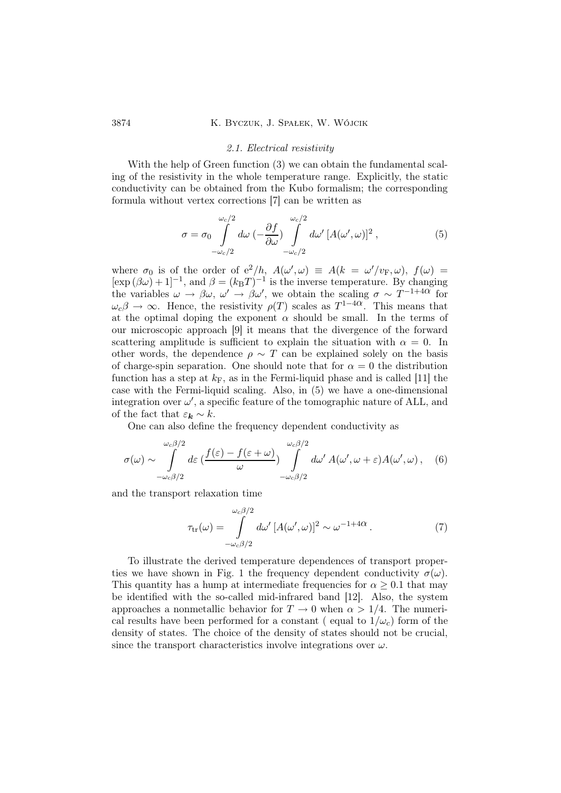#### 2.1. Electrical resistivity

With the help of Green function (3) we can obtain the fundamental scaling of the resistivity in the whole temperature range. Explicitly, the static conductivity can be obtained from the Kubo formalism; the corresponding formula without vertex corrections [7] can be written as

$$
\sigma = \sigma_0 \int_{-\omega_c/2}^{\omega_c/2} d\omega \left( -\frac{\partial f}{\partial \omega} \right) \int_{-\omega_c/2}^{\omega_c/2} d\omega' \left[ A(\omega', \omega) \right]^2, \tag{5}
$$

where  $\sigma_0$  is of the order of  $e^2/h$ ,  $A(\omega', \omega) \equiv A(k = \omega'/v_F, \omega)$ ,  $f(\omega) =$  $[\exp (\beta \omega) + 1]^{-1}$ , and  $\beta = (k_B T)^{-1}$  is the inverse temperature. By changing the variables  $\omega \to \beta \omega$ ,  $\omega' \to \beta \omega'$ , we obtain the scaling  $\sigma \sim T^{-1+4\alpha}$  for  $\omega_c\beta \to \infty$ . Hence, the resistivity  $\rho(T)$  scales as  $T^{1-4\alpha}$ . This means that at the optimal doping the exponent  $\alpha$  should be small. In the terms of our microscopic approach [9] it means that the divergence of the forward scattering amplitude is sufficient to explain the situation with  $\alpha = 0$ . In other words, the dependence  $\rho \sim T$  can be explained solely on the basis of charge-spin separation. One should note that for  $\alpha = 0$  the distribution function has a step at  $k_F$ , as in the Fermi-liquid phase and is called [11] the case with the Fermi-liquid scaling. Also, in (5) we have a one-dimensional integration over  $\omega'$ , a specific feature of the tomographic nature of ALL, and of the fact that  $\varepsilon_k \sim k$ .

One can also define the frequency dependent conductivity as

$$
\sigma(\omega) \sim \int_{-\omega_c \beta/2}^{\omega_c \beta/2} d\varepsilon \left(\frac{f(\varepsilon) - f(\varepsilon + \omega)}{\omega}\right) \int_{-\omega_c \beta/2}^{\omega_c \beta/2} d\omega' A(\omega', \omega + \varepsilon) A(\omega', \omega), \quad (6)
$$

and the transport relaxation time

$$
\tau_{\rm tr}(\omega) = \int_{-\omega_c \beta/2}^{\omega_c \beta/2} d\omega' \, [A(\omega', \omega)]^2 \sim \omega^{-1+4\alpha} \,. \tag{7}
$$

To illustrate the derived temperature dependences of transport properties we have shown in Fig. 1 the frequency dependent conductivity  $\sigma(\omega)$ . This quantity has a hump at intermediate frequencies for  $\alpha \geq 0.1$  that may be identified with the so-called mid-infrared band [12]. Also, the system approaches a nonmetallic behavior for  $T \to 0$  when  $\alpha > 1/4$ . The numerical results have been performed for a constant (equal to  $1/\omega_c$ ) form of the density of states. The choice of the density of states should not be crucial, since the transport characteristics involve integrations over  $\omega$ .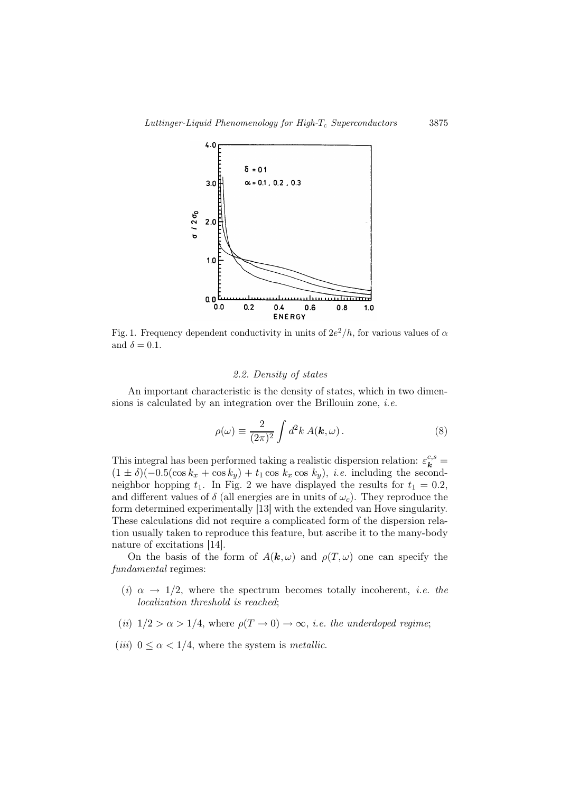

Fig. 1. Frequency dependent conductivity in units of  $2e^2/h$ , for various values of  $\alpha$ and  $\delta = 0.1$ .

#### 2.2. Density of states

An important characteristic is the density of states, which in two dimensions is calculated by an integration over the Brillouin zone, *i.e.* 

$$
\rho(\omega) \equiv \frac{2}{(2\pi)^2} \int d^2k \, A(\mathbf{k}, \omega) \,. \tag{8}
$$

This integral has been performed taking a realistic dispersion relation:  $\varepsilon_k^{c,s}$  $(1 \pm \delta)(-0.5(\cos k_x + \cos k_y) + t_1 \cos k_x \cos k_y), i.e.$  including the secondneighbor hopping  $t_1$ . In Fig. 2 we have displayed the results for  $t_1 = 0.2$ , and different values of  $\delta$  (all energies are in units of  $\omega_c$ ). They reproduce the form determined experimentally [13] with the extended van Hove singularity. These calculations did not require a complicated form of the dispersion relation usually taken to reproduce this feature, but ascribe it to the many-body nature of excitations [14].

On the basis of the form of  $A(\mathbf{k}, \omega)$  and  $\rho(T, \omega)$  one can specify the fundamental regimes:

- (i)  $\alpha \rightarrow 1/2$ , where the spectrum becomes totally incoherent, *i.e.* the localization threshold is reached;
- (ii)  $1/2 > \alpha > 1/4$ , where  $\rho(T \to 0) \to \infty$ , *i.e.* the underdoped regime;
- (*iii*)  $0 \le \alpha < 1/4$ , where the system is *metallic*.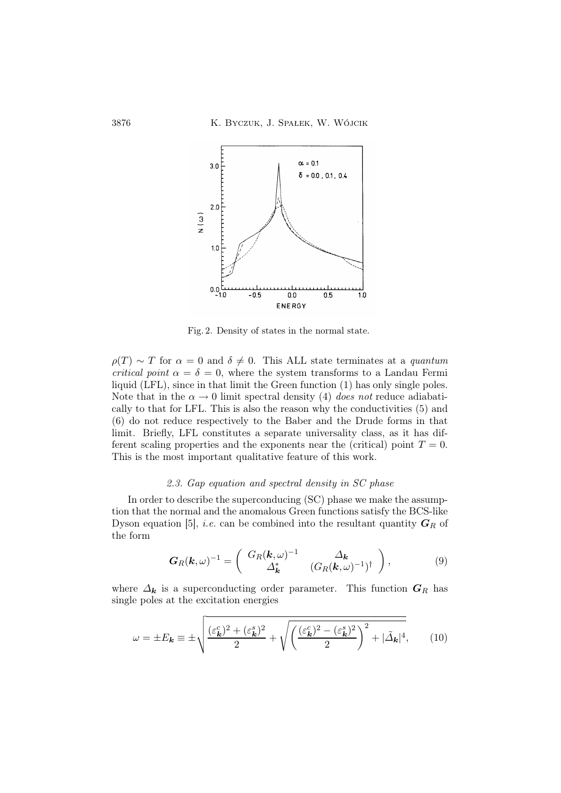

Fig. 2. Density of states in the normal state.

 $\rho(T) \sim T$  for  $\alpha = 0$  and  $\delta \neq 0$ . This ALL state terminates at a quantum critical point  $\alpha = \delta = 0$ , where the system transforms to a Landau Fermi liquid (LFL), since in that limit the Green function (1) has only single poles. Note that in the  $\alpha \to 0$  limit spectral density (4) does not reduce adiabatically to that for LFL. This is also the reason why the conductivities (5) and (6) do not reduce respectively to the Baber and the Drude forms in that limit. Briefly, LFL constitutes a separate universality class, as it has different scaling properties and the exponents near the (critical) point  $T = 0$ . This is the most important qualitative feature of this work.

## 2.3. Gap equation and spectral density in SC phase

In order to describe the superconducing (SC) phase we make the assumption that the normal and the anomalous Green functions satisfy the BCS-like Dyson equation [5], *i.e.* can be combined into the resultant quantity  $G_R$  of the form

$$
G_R(\mathbf{k},\omega)^{-1} = \begin{pmatrix} G_R(\mathbf{k},\omega)^{-1} & \Delta_{\mathbf{k}} \\ \Delta_{\mathbf{k}}^* & (G_R(\mathbf{k},\omega)^{-1})^{\dagger} \end{pmatrix},
$$
(9)

where  $\Delta_k$  is a superconducting order parameter. This function  $G_R$  has single poles at the excitation energies

$$
\omega = \pm E_{\mathbf{k}} \equiv \pm \sqrt{\frac{(\varepsilon_{\mathbf{k}}^c)^2 + (\varepsilon_{\mathbf{k}}^s)^2}{2} + \sqrt{\left(\frac{(\varepsilon_{\mathbf{k}}^c)^2 - (\varepsilon_{\mathbf{k}}^s)^2}{2}\right)^2 + |\tilde{\Delta}_{\mathbf{k}}|^4},\qquad(10)
$$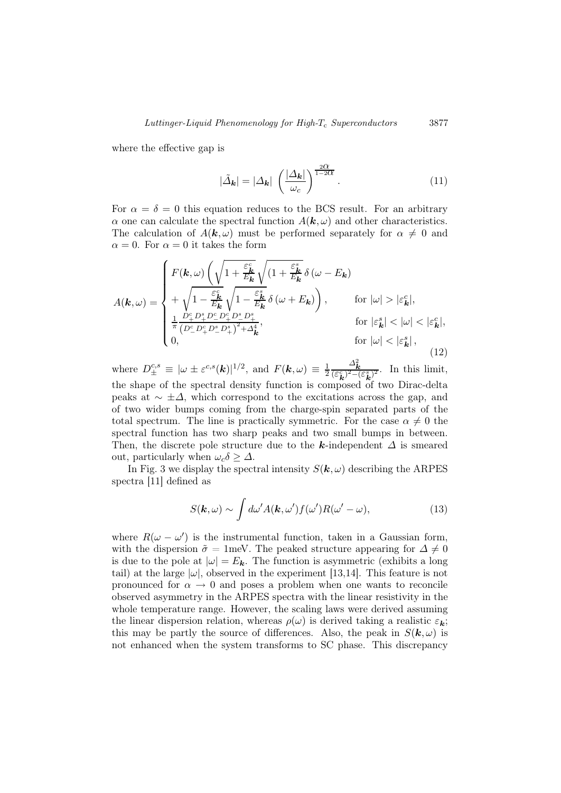where the effective gap is

$$
|\tilde{\Delta}_{\mathbf{k}}| = |\Delta_{\mathbf{k}}| \left(\frac{|\Delta_{\mathbf{k}}|}{\omega_c}\right)^{\frac{2\alpha}{1-2\alpha}}.
$$
 (11)

For  $\alpha = \delta = 0$  this equation reduces to the BCS result. For an arbitrary  $\alpha$  one can calculate the spectral function  $A(\mathbf{k}, \omega)$  and other characteristics. The calculation of  $A(\mathbf{k}, \omega)$  must be performed separately for  $\alpha \neq 0$  and  $\alpha = 0$ . For  $\alpha = 0$  it takes the form

$$
A(\mathbf{k},\omega) = \begin{cases} F(\mathbf{k},\omega) \left( \sqrt{1 + \frac{\varepsilon_{\mathbf{k}}^c}{E_{\mathbf{k}}}} \sqrt{(1 + \frac{\varepsilon_{\mathbf{k}}^s}{E_{\mathbf{k}}}} \delta(\omega - E_{\mathbf{k}}) \right. \\ + \sqrt{1 - \frac{\varepsilon_{\mathbf{k}}^c}{E_{\mathbf{k}}}} \sqrt{1 - \frac{\varepsilon_{\mathbf{k}}^s}{E_{\mathbf{k}}}} \delta(\omega + E_{\mathbf{k}}) \right), & \text{for } |\omega| > |\varepsilon_{\mathbf{k}}^c|, \\ \frac{1}{\pi} \frac{D_{+}^c D_{+}^s D_{-}^c D_{+}^c D_{-}^s D_{+}^s}{(D_{-}^c D_{+}^c D_{-}^s D_{+}^s)^2 + \Delta_{\mathbf{k}}^4}, & \text{for } |\varepsilon_{\mathbf{k}}^s| < |\omega| < |\varepsilon_{\mathbf{k}}^c|, \\ 0, & \text{for } |\omega| < |\varepsilon_{\mathbf{k}}^s|, \end{cases}
$$
(12)

where  $D_{\pm}^{c,s} \equiv |\omega \pm \varepsilon^{c,s}(\boldsymbol{k})|^{1/2}$ , and  $F(\boldsymbol{k}, \omega) \equiv \frac{1}{2}$ 2  $\frac{\Delta_{\mathbf{k}}^2}{(\varepsilon_{\mathbf{k}}^c)^2-(\varepsilon_{\mathbf{k}}^s)^2}$ . In this limit, the shape of the spectral density function is composed of two Dirac-delta peaks at  $\sim \pm \Delta$ , which correspond to the excitations across the gap, and of two wider bumps coming from the charge-spin separated parts of the total spectrum. The line is practically symmetric. For the case  $\alpha \neq 0$  the spectral function has two sharp peaks and two small bumps in between. Then, the discrete pole structure due to the k-independent  $\Delta$  is smeared out, particularly when  $\omega_c \delta \geq \Delta$ .

In Fig. 3 we display the spectral intensity  $S(\mathbf{k}, \omega)$  describing the ARPES spectra [11] defined as

$$
S(\mathbf{k},\omega) \sim \int d\omega' A(\mathbf{k},\omega') f(\omega') R(\omega'-\omega), \qquad (13)
$$

where  $R(\omega - \omega')$  is the instrumental function, taken in a Gaussian form, with the dispersion  $\tilde{\sigma} = 1$ meV. The peaked structure appearing for  $\Delta \neq 0$ is due to the pole at  $|\omega| = E_{\mathbf{k}}$ . The function is asymmetric (exhibits a long tail) at the large  $|\omega|$ , observed in the experiment [13,14]. This feature is not pronounced for  $\alpha \to 0$  and poses a problem when one wants to reconcile observed asymmetry in the ARPES spectra with the linear resistivity in the whole temperature range. However, the scaling laws were derived assuming the linear dispersion relation, whereas  $\rho(\omega)$  is derived taking a realistic  $\varepsilon_k$ ; this may be partly the source of differences. Also, the peak in  $S(\mathbf{k}, \omega)$  is not enhanced when the system transforms to SC phase. This discrepancy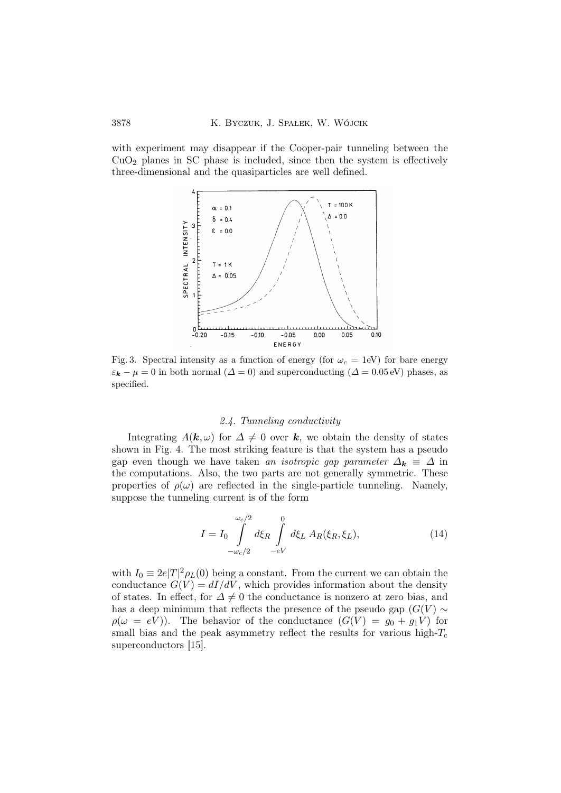with experiment may disappear if the Cooper-pair tunneling between the  $CuO<sub>2</sub>$  planes in SC phase is included, since then the system is effectively three-dimensional and the quasiparticles are well defined.



Fig. 3. Spectral intensity as a function of energy (for  $\omega_c = 1$ eV) for bare energy  $\varepsilon_k - \mu = 0$  in both normal  $(\Delta = 0)$  and superconducting  $(\Delta = 0.05 \text{ eV})$  phases, as specified.

## 2.4. Tunneling conductivity

Integrating  $A(\mathbf{k}, \omega)$  for  $\Delta \neq 0$  over  $\mathbf{k}$ , we obtain the density of states shown in Fig. 4. The most striking feature is that the system has a pseudo gap even though we have taken an isotropic gap parameter  $\Delta_k \equiv \Delta$  in the computations. Also, the two parts are not generally symmetric. These properties of  $\rho(\omega)$  are reflected in the single-particle tunneling. Namely, suppose the tunneling current is of the form

$$
I = I_0 \int_{-\omega_c/2}^{\omega_c/2} d\xi_R \int_{-eV}^0 d\xi_L A_R(\xi_R, \xi_L),
$$
 (14)

with  $I_0 \equiv 2e|T|^2 \rho_L(0)$  being a constant. From the current we can obtain the conductance  $G(V) = dI/dV$ , which provides information about the density of states. In effect, for  $\Delta \neq 0$  the conductance is nonzero at zero bias, and has a deep minimum that reflects the presence of the pseudo gap  $(G(V) \sim$  $\rho(\omega = eV)$ ). The behavior of the conductance  $(G(V) = g_0 + g_1V)$  for small bias and the peak asymmetry reflect the results for various high- $T_c$ superconductors [15].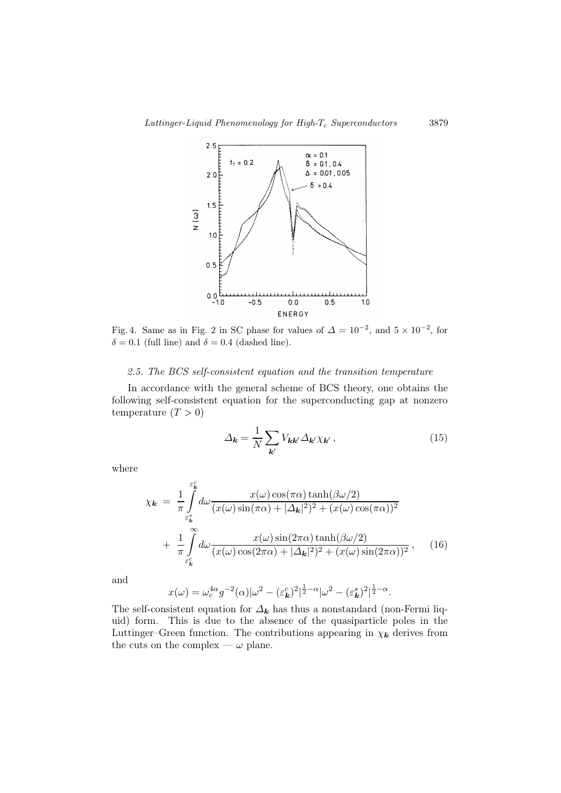

Fig. 4. Same as in Fig. 2 in SC phase for values of  $\Delta = 10^{-2}$ , and  $5 \times 10^{-2}$ , for  $\delta = 0.1$  (full line) and  $\delta = 0.4$  (dashed line).

## 2.5. The BCS self-consistent equation and the transition temperature

In accordance with the general scheme of BCS theory, one obtains the following self-consistent equation for the superconducting gap at nonzero temperature  $(T > 0)$ 

$$
\Delta_{\mathbf{k}} = \frac{1}{N} \sum_{\mathbf{k}'} V_{\mathbf{k}\mathbf{k}'} \Delta_{\mathbf{k}'} \chi_{\mathbf{k}'}, \qquad (15)
$$

where

$$
\chi_{\mathbf{k}} = \frac{1}{\pi} \int_{\varepsilon_{\mathbf{k}}^c}^{\varepsilon_{\mathbf{k}}^c} d\omega \frac{x(\omega) \cos(\pi \alpha) \tanh(\beta \omega/2)}{(x(\omega) \sin(\pi \alpha) + |\Delta_{\mathbf{k}}|^2)^2 + (x(\omega) \cos(\pi \alpha))^2} + \frac{1}{\pi} \int_{\varepsilon_{\mathbf{k}}^c}^{\infty} d\omega \frac{x(\omega) \sin(2\pi \alpha) \tanh(\beta \omega/2)}{(x(\omega) \cos(2\pi \alpha) + |\Delta_{\mathbf{k}}|^2)^2 + (x(\omega) \sin(2\pi \alpha))^2}, \quad (16)
$$

and

$$
x(\omega) = \omega_c^{4\alpha} g^{-2}(\alpha) |\omega^2 - (\varepsilon_{\mathbf{k}}^c)^2|^{\frac{1}{2}-\alpha} |\omega^2 - (\varepsilon_{\mathbf{k}}^s)^2|^{\frac{1}{2}-\alpha}.
$$

The self-consistent equation for  $\Delta_k$  has thus a nonstandard (non-Fermi liquid) form. This is due to the absence of the quasiparticle poles in the Luttinger–Green function. The contributions appearing in  $\chi_k$  derives from the cuts on the complex —  $\omega$  plane.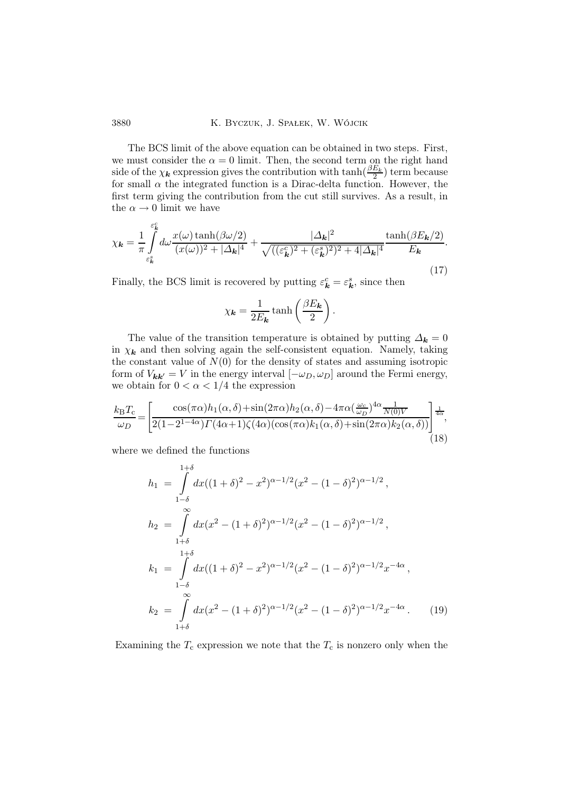3880 K. Byczuk, J. Spałek, W. Wójcik

The BCS limit of the above equation can be obtained in two steps. First, we must consider the  $\alpha = 0$  limit. Then, the second term on the right hand side of the  $\chi_k$  expression gives the contribution with  $\tanh(\frac{\beta E_k}{2})$  term because for small  $\alpha$  the integrated function is a Dirac-delta function. However, the first term giving the contribution from the cut still survives. As a result, in the  $\alpha \rightarrow 0$  limit we have

$$
\chi_{\mathbf{k}} = \frac{1}{\pi} \int_{\varepsilon_{\mathbf{k}}^c}^{\varepsilon_{\mathbf{k}}^c} d\omega \frac{x(\omega) \tanh(\beta \omega/2)}{(x(\omega))^2 + |\Delta_{\mathbf{k}}|^4} + \frac{|\Delta_{\mathbf{k}}|^2}{\sqrt{((\varepsilon_{\mathbf{k}}^c)^2 + (\varepsilon_{\mathbf{k}}^s)^2)^2 + 4|\Delta_{\mathbf{k}}|^4}} \frac{\tanh(\beta E_{\mathbf{k}}/2)}{E_{\mathbf{k}}}.
$$
\n(17)

Finally, the BCS limit is recovered by putting  $\varepsilon_k^c = \varepsilon_k^s$ , since then

$$
\chi_{\mathbf{k}} = \frac{1}{2E_{\mathbf{k}}} \tanh\left(\frac{\beta E_{\mathbf{k}}}{2}\right).
$$

The value of the transition temperature is obtained by putting  $\Delta_k = 0$ in  $\chi_k$  and then solving again the self-consistent equation. Namely, taking the constant value of  $N(0)$  for the density of states and assuming isotropic form of  $V_{kk'} = V$  in the energy interval  $[-\omega_D, \omega_D]$  around the Fermi energy, we obtain for  $0 < \alpha < 1/4$  the expression

$$
\frac{k_{\rm B}T_{\rm c}}{\omega_D} = \left[ \frac{\cos(\pi\alpha)h_1(\alpha,\delta) + \sin(2\pi\alpha)h_2(\alpha,\delta) - 4\pi\alpha(\frac{\omega_c}{\omega_D})^{4\alpha} \frac{1}{N(0)V}}{2(1 - 2^{1 - 4\alpha})\Gamma(4\alpha + 1)\zeta(4\alpha)(\cos(\pi\alpha)k_1(\alpha,\delta) + \sin(2\pi\alpha)k_2(\alpha,\delta))} \right]^{\frac{1}{4\alpha}},
$$
\n(18)

where we defined the functions

$$
h_1 = \int_{1-\delta}^{1+\delta} dx((1+\delta)^2 - x^2)^{\alpha - 1/2} (x^2 - (1-\delta)^2)^{\alpha - 1/2},
$$
  
\n
$$
h_2 = \int_{1+\delta}^{\infty} dx(x^2 - (1+\delta)^2)^{\alpha - 1/2} (x^2 - (1-\delta)^2)^{\alpha - 1/2},
$$
  
\n
$$
k_1 = \int_{1-\delta}^{1+\delta} dx((1+\delta)^2 - x^2)^{\alpha - 1/2} (x^2 - (1-\delta)^2)^{\alpha - 1/2} x^{-4\alpha},
$$
  
\n
$$
k_2 = \int_{1+\delta}^{\infty} dx(x^2 - (1+\delta)^2)^{\alpha - 1/2} (x^2 - (1-\delta)^2)^{\alpha - 1/2} x^{-4\alpha}.
$$
 (19)

Examining the  $T_c$  expression we note that the  $T_c$  is nonzero only when the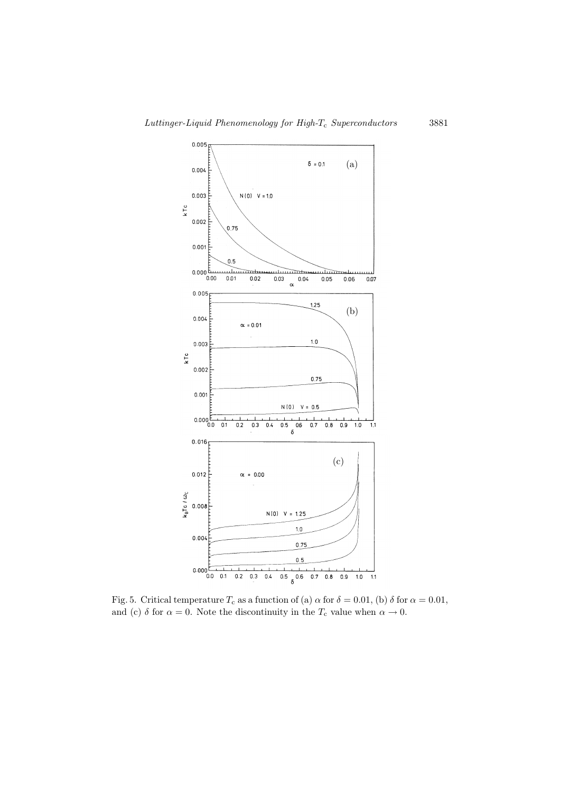

Fig. 5. Critical temperature  $T_c$  as a function of (a)  $\alpha$  for  $\delta = 0.01$ , (b)  $\delta$  for  $\alpha = 0.01$ , and (c)  $\delta$  for  $\alpha = 0$ . Note the discontinuity in the  $T_c$  value when  $\alpha \to 0$ .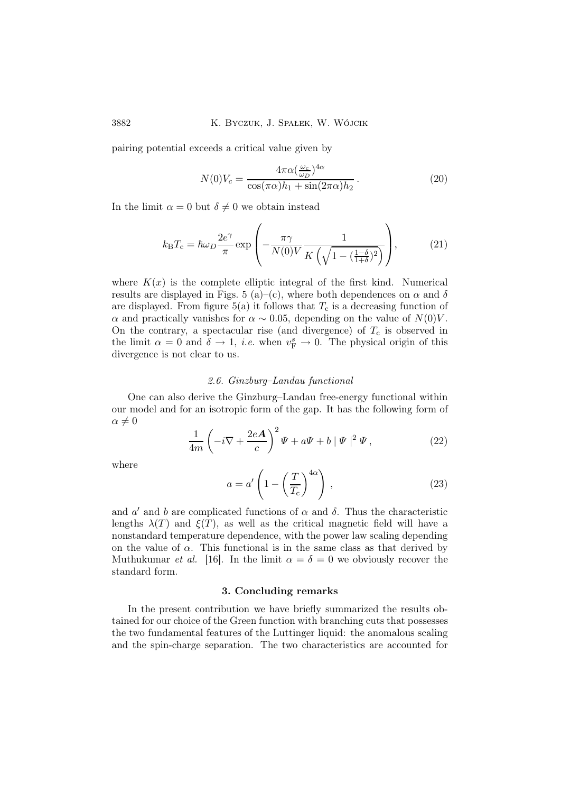pairing potential exceeds a critical value given by

$$
N(0)V_c = \frac{4\pi\alpha(\frac{\omega_c}{\omega_D})^{4\alpha}}{\cos(\pi\alpha)h_1 + \sin(2\pi\alpha)h_2}.
$$
\n(20)

In the limit  $\alpha = 0$  but  $\delta \neq 0$  we obtain instead

$$
k_{\rm B}T_{\rm c} = \hbar\omega_D \frac{2e^{\gamma}}{\pi} \exp\left(-\frac{\pi\gamma}{N(0)V} \frac{1}{K\left(\sqrt{1 - \left(\frac{1-\delta}{1+\delta}\right)^2}\right)}\right),\tag{21}
$$

where  $K(x)$  is the complete elliptic integral of the first kind. Numerical results are displayed in Figs. 5 (a)–(c), where both dependences on  $\alpha$  and  $\delta$ are displayed. From figure 5(a) it follows that  $T_c$  is a decreasing function of α and practically vanishes for  $\alpha \sim 0.05$ , depending on the value of  $N(0)V$ . On the contrary, a spectacular rise (and divergence) of  $T_c$  is observed in the limit  $\alpha = 0$  and  $\delta \to 1$ , *i.e.* when  $v_F^s \to 0$ . The physical origin of this divergence is not clear to us.

## 2.6. Ginzburg–Landau functional

One can also derive the Ginzburg–Landau free-energy functional within our model and for an isotropic form of the gap. It has the following form of  $\alpha \neq 0$ 

$$
\frac{1}{4m}\left(-i\nabla + \frac{2e\mathbf{A}}{c}\right)^2\Psi + a\Psi + b\|\Psi\|^2\Psi,
$$
\n(22)

where

$$
a = a' \left( 1 - \left(\frac{T}{T_c}\right)^{4\alpha} \right) ,\qquad (23)
$$

and  $a'$  and b are complicated functions of  $\alpha$  and  $\delta$ . Thus the characteristic lengths  $\lambda(T)$  and  $\xi(T)$ , as well as the critical magnetic field will have a nonstandard temperature dependence, with the power law scaling depending on the value of  $\alpha$ . This functional is in the same class as that derived by Muthukumar *et al.* [16]. In the limit  $\alpha = \delta = 0$  we obviously recover the standard form.

## 3. Concluding remarks

In the present contribution we have briefly summarized the results obtained for our choice of the Green function with branching cuts that possesses the two fundamental features of the Luttinger liquid: the anomalous scaling and the spin-charge separation. The two characteristics are accounted for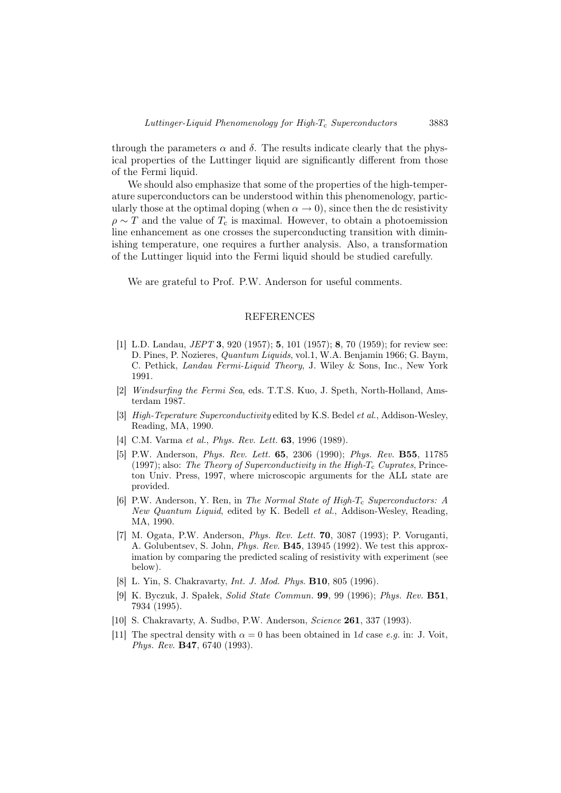through the parameters  $\alpha$  and  $\delta$ . The results indicate clearly that the physical properties of the Luttinger liquid are significantly different from those of the Fermi liquid.

We should also emphasize that some of the properties of the high-temperature superconductors can be understood within this phenomenology, particularly those at the optimal doping (when  $\alpha \to 0$ ), since then the dc resistivity  $\rho \sim T$  and the value of  $T_c$  is maximal. However, to obtain a photoemission line enhancement as one crosses the superconducting transition with diminishing temperature, one requires a further analysis. Also, a transformation of the Luttinger liquid into the Fermi liquid should be studied carefully.

We are grateful to Prof. P.W. Anderson for useful comments.

## REFERENCES

- [1] L.D. Landau, *JEPT* 3, 920 (1957); 5, 101 (1957); 8, 70 (1959); for review see: D. Pines, P. Nozieres, Quantum Liquids, vol.1, W.A. Benjamin 1966; G. Baym, C. Pethick, Landau Fermi-Liquid Theory, J. Wiley & Sons, Inc., New York 1991.
- [2] Windsurfing the Fermi Sea, eds. T.T.S. Kuo, J. Speth, North-Holland, Amsterdam 1987.
- [3] High-Teperature Superconductivity edited by K.S. Bedel et al., Addison-Wesley, Reading, MA, 1990.
- [4] C.M. Varma et al., *Phys. Rev. Lett.* **63**, 1996 (1989).
- [5] P.W. Anderson, Phys. Rev. Lett. 65, 2306 (1990); Phys. Rev. B55, 11785 (1997); also: The Theory of Superconductivity in the High- $T_c$  Cuprates, Princeton Univ. Press, 1997, where microscopic arguments for the ALL state are provided.
- [6] P.W. Anderson, Y. Ren, in The Normal State of High- $T_c$  Superconductors: A New Quantum Liquid, edited by K. Bedell et al., Addison-Wesley, Reading, MA, 1990.
- [7] M. Ogata, P.W. Anderson, Phys. Rev. Lett. 70, 3087 (1993); P. Voruganti, A. Golubentsev, S. John, Phys. Rev. B45, 13945 (1992). We test this approximation by comparing the predicted scaling of resistivity with experiment (see below).
- [8] L. Yin, S. Chakravarty, *Int. J. Mod. Phys.* **B10**, 805 (1996).
- [9] K. Byczuk, J. Spałek, Solid State Commun. 99, 99 (1996); Phys. Rev. B51, 7934 (1995).
- [10] S. Chakravarty, A. Sudbø, P.W. Anderson, Science 261, 337 (1993).
- [11] The spectral density with  $\alpha = 0$  has been obtained in 1d case e.g. in: J. Voit, Phys. Rev. B47, 6740 (1993).